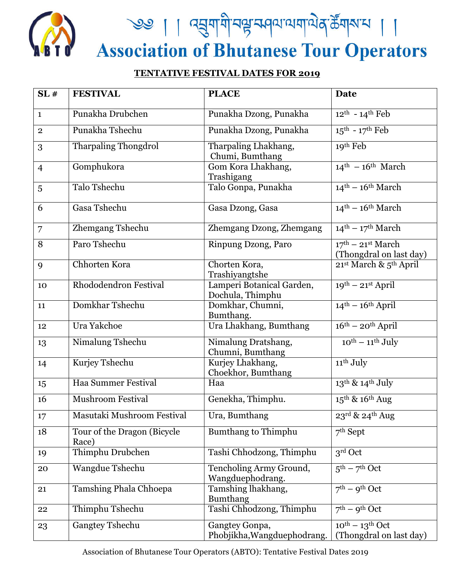

## **TENTATIVE FESTIVAL DATES FOR 2019**

| SL#               | <b>FESTIVAL</b>                      | <b>PLACE</b>                                  | <b>Date</b>                                        |
|-------------------|--------------------------------------|-----------------------------------------------|----------------------------------------------------|
| $\mathbf{1}$      | Punakha Drubchen                     | Punakha Dzong, Punakha                        | $12^{th} - 14^{th}$ Feb                            |
| $\overline{2}$    | Punakha Tshechu                      | Punakha Dzong, Punakha                        | $15^{\text{th}}$ - $17^{\text{th}}$ Feb            |
| 3                 | <b>Tharpaling Thongdrol</b>          | Tharpaling Lhakhang,<br>Chumi, Bumthang       | 19th Feb                                           |
| $\overline{4}$    | Gomphukora                           | Gom Kora Lhakhang,<br>Trashigang              | $14th - 16th March$                                |
| 5                 | Talo Tshechu                         | Talo Gonpa, Punakha                           | $14^{\text{th}} - 16^{\text{th}}$ March            |
| 6                 | Gasa Tshechu                         | Gasa Dzong, Gasa                              | $14^{\text{th}} - 16^{\text{th}}$ March            |
| 7                 | Zhemgang Tshechu                     | Zhemgang Dzong, Zhemgang                      | $14th - 17th March$                                |
| 8                 | Paro Tshechu                         | Rinpung Dzong, Paro                           | $17th - 21st March$<br>(Thongdral on last day)     |
| 9                 | Chhorten Kora                        | Chorten Kora,<br>Trashiyangtshe               | 21st March & 5th April                             |
| 10                | Rhododendron Festival                | Lamperi Botanical Garden,<br>Dochula, Thimphu | $19^{th}$ – $21^{st}$ April                        |
| 11                | Domkhar Tshechu                      | Domkhar, Chumni,<br>Bumthang.                 | $14th - 16th$ April                                |
| 12                | Ura Yakchoe                          | Ura Lhakhang, Bumthang                        | $16th - 20th$ April                                |
| 13                | Nimalung Tshechu                     | Nimalung Dratshang,<br>Chumni, Bumthang       | $10^{th} - 11^{th}$ July                           |
| 14                | Kurjey Tshechu                       | Kurjey Lhakhang,<br>Choekhor, Bumthang        | 11 <sup>th</sup> July                              |
| 15                | Haa Summer Festival                  | Haa                                           | 13 <sup>th</sup> & 14 <sup>th</sup> July           |
| 16                | <b>Mushroom Festival</b>             | Genekha, Thimphu.                             | $15^{\text{th}}$ & $16^{\text{th}}$ Aug            |
| $17 \overline{ }$ | Masutaki Mushroom Festival           | Ura, Bumthang                                 | $23^{\text{rd}}$ & $24^{\text{th}}$ Aug            |
| 18                | Tour of the Dragon (Bicycle<br>Race) | <b>Bumthang to Thimphu</b>                    | $7th$ Sept                                         |
| 19                | Thimphu Drubchen                     | Tashi Chhodzong, Thimphu                      | $3^{\rm rd}$ Oct                                   |
| 20                | Wangdue Tshechu                      | Tencholing Army Ground,<br>Wangduephodrang.   | $5^{\text{th}}$ – $7^{\text{th}}$ Oct              |
| 21                | Tamshing Phala Chhoepa               | Tamshing lhakhang,<br><b>Bumthang</b>         | $7th - 9th Oct$                                    |
| 22                | Thimphu Tshechu                      | Tashi Chhodzong, Thimphu                      | $7th - 9th Oct$                                    |
| 23                | <b>Gangtey Tshechu</b>               | Gangtey Gonpa,<br>Phobjikha, Wangduephodrang. | $10^{th} - 13^{th}$ Oct<br>(Thongdral on last day) |

Association of Bhutanese Tour Operators (ABTO): Tentative Festival Dates 2019